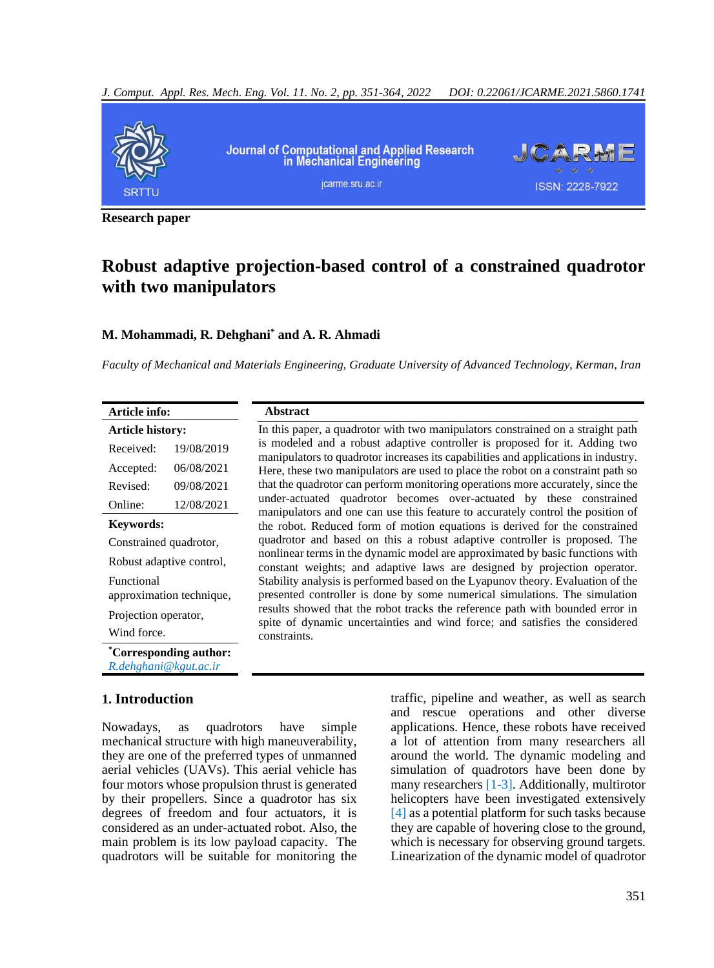

**Research paper**

# **Robust adaptive projection-based control of a constrained quadrotor with two manipulators**

### **M. Mohammadi, R. Dehghani\* and A. R. Ahmadi**

*Faculty of Mechanical and Materials Engineering, Graduate University of Advanced Technology, Kerman, Iran* 

In this paper, a quadrotor with two manipulators constrained on a straight path is modeled and a robust adaptive controller is proposed for it. Adding two manipulators to quadrotor increases its capabilities and applications in industry. Here, these two manipulators are used to place the robot on a constraint path so that the quadrotor can perform monitoring operations more accurately, since the under-actuated quadrotor becomes over-actuated by these constrained manipulators and one can use this feature to accurately control the position of the robot. Reduced form of motion equations is derived for the constrained quadrotor and based on this a robust adaptive controller is proposed. The nonlinear terms in the dynamic model are approximated by basic functions with constant weights; and adaptive laws are designed by projection operator. Stability analysis is performed based on the Lyapunov theory. Evaluation of the presented controller is done by some numerical simulations. The simulation results showed that the robot tracks the reference path with bounded error in spite of dynamic uncertainties and wind force; and satisfies the considered

| Article info:            |                          |  |
|--------------------------|--------------------------|--|
| Article history:         |                          |  |
| Received:                | 19/08/2019               |  |
| Accepted:                | 06/08/2021               |  |
| Revised:                 | 09/08/2021               |  |
| Online:                  | 12/08/2021               |  |
| <b>Keywords:</b>         |                          |  |
| Constrained quadrotor,   |                          |  |
| Robust adaptive control, |                          |  |
| <b>Functional</b>        | approximation technique, |  |
| Projection operator,     |                          |  |
| Wind force.              |                          |  |
| R.dehghani@kgut.ac.ir    | *Corresponding author:   |  |

## **1. Introduction**

Nowadays, as quadrotors have simple mechanical structure with high maneuverability, they are one of the preferred types of unmanned aerial vehicles (UAVs). This aerial vehicle has four motors whose propulsion thrust is generated by their propellers. Since a quadrotor has six degrees of freedom and four actuators, it is considered as an under-actuated robot. Also, the main problem is its low payload capacity. The quadrotors will be suitable for monitoring the

constraints.

**Abstract**

traffic, pipeline and weather, as well as search and rescue operations and other diverse applications. Hence, these robots have received a lot of attention from many researchers all around the world. The dynamic modeling and simulation of quadrotors have been done by many researchers [\[1-3\].](#page-10-0) Additionally, multirotor helicopters have been investigated extensively [\[4\]](#page-10-1) as a potential platform for such tasks because they are capable of hovering close to the ground, which is necessary for observing ground targets. Linearization of the dynamic model of quadrotor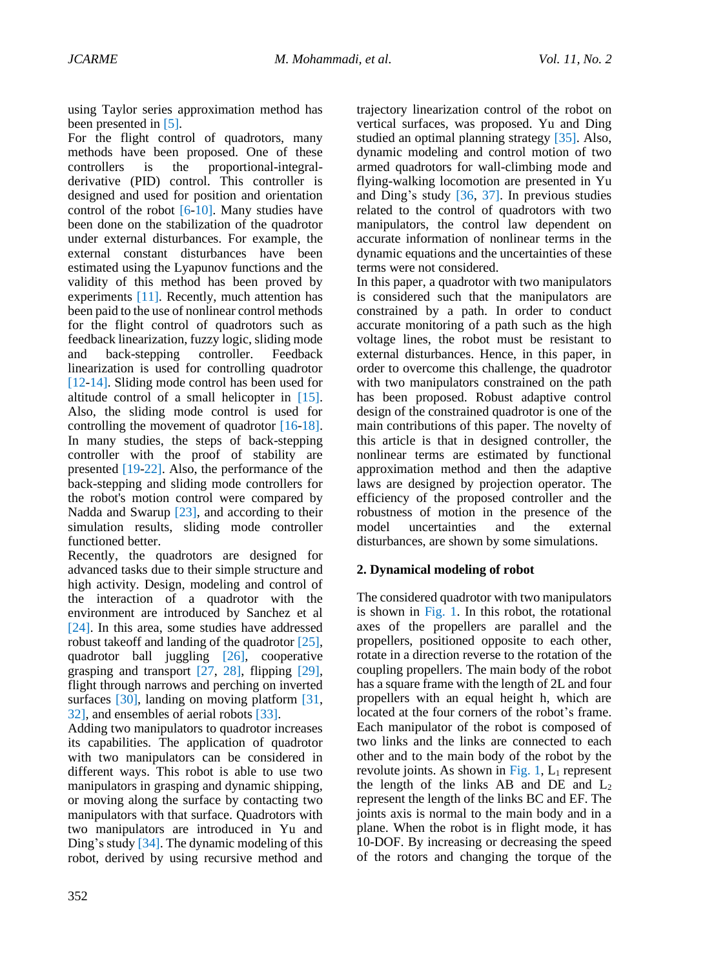using Taylor series approximation method has been presented in [\[5\].](#page-10-2)

For the flight control of quadrotors, many methods have been proposed. One of these controllers is the proportional-integralderivative (PID) control. This controller is designed and used for position and orientation control of the robot [\[6-10\].](#page-11-0) Many studies have been done on the stabilization of the quadrotor under external disturbances. For example, the external constant disturbances have been estimated using the Lyapunov functions and the validity of this method has been proved by experiments [\[11\].](#page-11-1) Recently, much attention has been paid to the use of nonlinear control methods for the flight control of quadrotors such as feedback linearization, fuzzy logic, sliding mode and back-stepping controller. Feedback linearization is used for controlling quadrotor [\[12-14\].](#page-11-2) Sliding mode control has been used for altitude control of a small helicopter in [\[15\].](#page-11-3) Also, the sliding mode control is used for controlling the movement of quadrotor [\[16-18\].](#page-11-4) In many studies, the steps of back-stepping controller with the proof of stability are presented [\[19-22\].](#page-11-5) Also, the performance of the back-stepping and sliding mode controllers for the robot's motion control were compared by Nadda and Swarup [\[23\],](#page-12-0) and according to their simulation results, sliding mode controller functioned better.

Recently, the quadrotors are designed for advanced tasks due to their simple structure and high activity. Design, modeling and control of the interaction of a quadrotor with the environment are introduced by Sanchez et al [\[24\].](#page-12-1) In this area, some studies have addressed robust takeoff and landing of the quadrotor [\[25\],](#page-12-2) quadrotor ball juggling [\[26\],](#page-12-3) cooperative grasping and transport [\[27,](#page-12-4) 28], flipping [\[29\],](#page-12-5) flight through narrows and perching on inverted surfaces [\[30\],](#page-12-6) landing on moving platform [\[31,](#page-12-7) [32\],](#page-12-7) and ensembles of aerial robots [\[33\].](#page-12-8)

Adding two manipulators to quadrotor increases its capabilities. The application of quadrotor with two manipulators can be considered in different ways. This robot is able to use two manipulators in grasping and dynamic shipping, or moving along the surface by contacting two manipulators with that surface. Quadrotors with two manipulators are introduced in Yu and Ding's study [\[34\].](#page-12-9) The dynamic modeling of this robot, derived by using recursive method and

trajectory linearization control of the robot on vertical surfaces, was proposed. Yu and Ding studied an optimal planning strategy [\[35\].](#page-12-10) Also, dynamic modeling and control motion of two armed quadrotors for wall-climbing mode and flying-walking locomotion are presented in Yu and Ding's study [\[36,](#page-12-11) 37]. In previous studies related to the control of quadrotors with two manipulators, the control law dependent on accurate information of nonlinear terms in the dynamic equations and the uncertainties of these terms were not considered.

In this paper, a quadrotor with two manipulators is considered such that the manipulators are constrained by a path. In order to conduct accurate monitoring of a path such as the high voltage lines, the robot must be resistant to external disturbances. Hence, in this paper, in order to overcome this challenge, the quadrotor with two manipulators constrained on the path has been proposed. Robust adaptive control design of the constrained quadrotor is one of the main contributions of this paper. The novelty of this article is that in designed controller, the nonlinear terms are estimated by functional approximation method and then the adaptive laws are designed by projection operator. The efficiency of the proposed controller and the robustness of motion in the presence of the model uncertainties and the external disturbances, are shown by some simulations.

## **2. Dynamical modeling of robot**

The considered quadrotor with two manipulators is shown in Fig. 1. In this robot, the rotational axes of the propellers are parallel and the propellers, positioned opposite to each other, rotate in a direction reverse to the rotation of the coupling propellers. The main body of the robot has a square frame with the length of 2L and four propellers with an equal height h, which are located at the four corners of the robot's frame. Each manipulator of the robot is composed of two links and the links are connected to each other and to the main body of the robot by the revolute joints. As shown in Fig. 1,  $L_1$  represent the length of the links AB and DE and  $L_2$ represent the length of the links BC and EF. The joints axis is normal to the main body and in a plane. When the robot is in flight mode, it has 10-DOF. By increasing or decreasing the speed of the rotors and changing the torque of the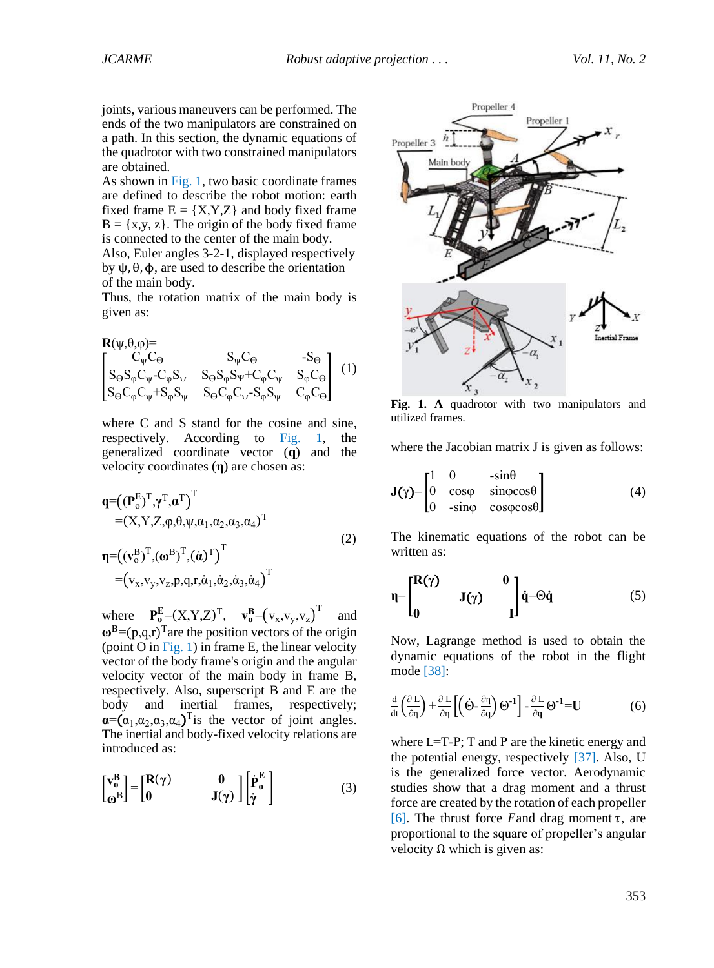joints, various maneuvers can be performed. The ends of the two manipulators are constrained on a path. In this section, the dynamic equations of the quadrotor with two constrained manipulators are obtained.

As shown in Fig. 1, two basic coordinate frames are defined to describe the robot motion: earth fixed frame  $E = \{X, Y, Z\}$  and body fixed frame  $B = \{x,y,z\}$ . The origin of the body fixed frame is connected to the center of the main body. Also, Euler angles 3-2-1, displayed respectively by  $ψ$ ,  $θ$ ,  $φ$ , are used to describe the orientation of the main body.

Thus, the rotation matrix of the main body is given as:

<span id="page-2-1"></span>
$$
R(\psi, \theta, \varphi) = \n\begin{bmatrix}\nC_{\psi}C_{\Theta} & S_{\psi}C_{\Theta} & -S_{\Theta} \\
S_{\Theta}S_{\varphi}C_{\psi}-C_{\varphi}S_{\psi} & S_{\Theta}S_{\varphi}S_{\psi}+C_{\varphi}C_{\psi} & S_{\varphi}C_{\Theta} \\
S_{\Theta}C_{\varphi}C_{\psi}+S_{\varphi}S_{\psi} & S_{\Theta}C_{\varphi}C_{\psi}-S_{\varphi}S_{\psi} & C_{\varphi}C_{\Theta}\n\end{bmatrix} (1)
$$

where C and S stand for the cosine and sine, respectively. According to Fig. 1, the generalized coordinate vector (**q**) and the velocity coordinates (**η**) are chosen as:

$$
q = ((P_oE)T, \gammaT, \alphaT)T
$$
  
\n= (X, Y, Z,  $\varphi$ ,  $\theta$ ,  $\psi$ ,  $\alpha_1$ ,  $\alpha_2$ ,  $\alpha_3$ ,  $\alpha_4$ )<sup>T</sup>  
\n
$$
\eta = ((v_oB)T, (\omegaB)T, (\dot{\alpha})T)T
$$
  
\n= (v<sub>x</sub>, v<sub>y</sub>, v<sub>z</sub>, p, q, r,  $\dot{\alpha}_1$ ,  $\dot{\alpha}_2$ ,  $\dot{\alpha}_3$ ,  $\dot{\alpha}_4$ )<sup>T</sup> (2)

where  $\mathbf{P}_0^{\mathbf{E}} = (X, Y, Z)^{\mathrm{T}}, \quad \mathbf{v}_0^{\mathbf{B}} = (\mathbf{v}_x, \mathbf{v}_y, \mathbf{v}_z)^{\mathrm{T}}$ and  $\omega^B = (p,q,r)^T$  are the position vectors of the origin (point  $O$  in Fig. 1) in frame E, the linear velocity vector of the body frame's origin and the angular velocity vector of the main body in frame B, respectively. Also, superscript B and E are the body and inertial frames, respectively;  $\alpha = (\alpha_1, \alpha_2, \alpha_3, \alpha_4)$ <sup>T</sup> is the vector of joint angles. The inertial and body-fixed velocity relations are introduced as:

$$
\begin{bmatrix} \mathbf{v}_0^B \\ \mathbf{\omega}^B \end{bmatrix} = \begin{bmatrix} \mathbf{R}(\gamma) & \mathbf{0} \\ \mathbf{0} & \mathbf{J}(\gamma) \end{bmatrix} \begin{bmatrix} \dot{\mathbf{P}}_0^E \\ \dot{\gamma} \end{bmatrix}
$$
(3)



**Fig. 1. A** quadrotor with two manipulators and utilized frames.

where the Jacobian matrix J is given as follows:

$$
\mathbf{J}(\gamma) = \begin{bmatrix} 1 & 0 & -\sin\theta \\ 0 & \cos\phi & \sin\phi\cos\theta \\ 0 & -\sin\phi & \cos\phi\cos\theta \end{bmatrix}
$$
 (4)

The kinematic equations of the robot can be written as:

<span id="page-2-0"></span>
$$
\eta = \begin{bmatrix} R(\gamma) & 0 \\ 0 & J(\gamma) & 0 \end{bmatrix} \dot{q} = \Theta \dot{q} \tag{5}
$$

Now, Lagrange method is used to obtain the dynamic equations of the robot in the flight mode [\[38\]:](#page-12-12)

$$
\frac{d}{dt}\left(\frac{\partial L}{\partial \eta}\right) + \frac{\partial L}{\partial \eta} \left[ \left(\dot{\Theta} - \frac{\partial \eta}{\partial q}\right) \Theta^{-1} \right] - \frac{\partial L}{\partial q} \Theta^{-1} = U \tag{6}
$$

where L=T-Ρ; T and Ρ are the kinetic energy and the potential energy, respectively [\[37\].](#page-12-13) Also, U is the generalized force vector. Aerodynamic studies show that a drag moment and a thrust force are created by the rotation of each propeller [\[6\].](#page-11-0) The thrust force F and drag moment  $\tau$ , are proportional to the square of propeller's angular velocity  $Ω$  which is given as: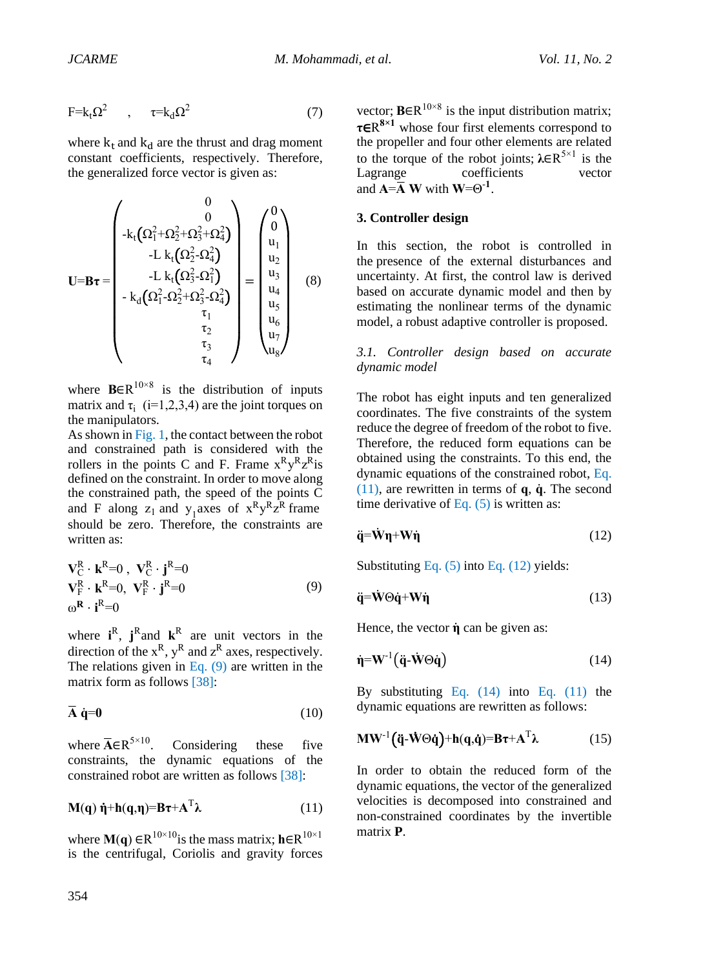$$
F = k_t \Omega^2 \qquad , \qquad \tau = k_d \Omega^2 \tag{7}
$$

where  $k_t$  and  $k_d$  are the thrust and drag moment constant coefficients, respectively. Therefore, the generalized force vector is given as:

$$
\mathbf{U} = \mathbf{B}\boldsymbol{\tau} = \begin{pmatrix} 0 \\ 0 \\ -k_t(\Omega_1^2 + \Omega_2^2 + \Omega_3^2 + \Omega_4^2) \\ -L k_t(\Omega_2^2 - \Omega_4^2) \\ -L k_t(\Omega_3^2 - \Omega_1^2) \\ -k_d(\Omega_1^2 - \Omega_2^2 + \Omega_3^2 - \Omega_4^2) \\ \tau_1 \\ \tau_2 \\ \tau_3 \\ \tau_4 \end{pmatrix} = \begin{pmatrix} 0 \\ 0 \\ u_1 \\ u_2 \\ u_3 \\ u_4 \\ u_5 \\ u_6 \\ u_7 \\ u_8 \end{pmatrix}
$$
(8)

where  $\mathbf{B} \in \mathbb{R}^{10 \times 8}$  is the distribution of inputs matrix and  $\tau_i$  (i=1,2,3,4) are the joint torques on the manipulators.

As shown in Fig. 1, the contact between the robot and constrained path is considered with the rollers in the points C and F. Frame  $x^R y^R z^R$  is defined on the constraint. In order to move along the constrained path, the speed of the points C and F along  $z_1$  and  $y_1$  axes of  $x^R y^R z^R$  frame should be zero. Therefore, the constraints are written as:

<span id="page-3-0"></span>
$$
\mathbf{V}_{\mathcal{C}}^{\mathcal{R}} \cdot \mathbf{k}^{\mathcal{R}} = 0, \ \mathbf{V}_{\mathcal{C}}^{\mathcal{R}} \cdot \mathbf{j}^{\mathcal{R}} = 0
$$
\n
$$
\mathbf{V}_{\mathcal{F}}^{\mathcal{R}} \cdot \mathbf{k}^{\mathcal{R}} = 0, \ \mathbf{V}_{\mathcal{F}}^{\mathcal{R}} \cdot \mathbf{j}^{\mathcal{R}} = 0
$$
\n
$$
\omega^{\mathcal{R}} \cdot \mathbf{i}^{\mathcal{R}} = 0
$$
\n(9)

where  $i^R$ ,  $j^R$  and  $k^R$  are unit vectors in the direction of the  $x^R$ ,  $y^R$  and  $z^R$  axes, respectively. The relations given in Eq.  $(9)$  are written in the matrix form as follows [\[38\]:](#page-12-12)

<span id="page-3-4"></span>
$$
\overline{A} \dot{q} = 0 \tag{10}
$$

where  $\overline{A} \in R^{5 \times 10}$ . Considering these five constraints, the dynamic equations of the constrained robot are written as follows [\[38\]:](#page-12-12)

<span id="page-3-1"></span>
$$
M(q) \dot{\eta} + h(q, \eta) = B\tau + A^{T} \lambda \qquad (11)
$$

where **M**(**q**)  $\in \mathbb{R}^{10 \times 10}$  is the mass matrix; **h** $\in \mathbb{R}^{10 \times 1}$ is the centrifugal, Coriolis and gravity forces

vector;  $\textbf{B} \in \mathbb{R}^{10 \times 8}$  is the input distribution matrix; **τ**∈R **8×1** whose four first elements correspond to the propeller and four other elements are related to the torque of the robot joints;  $\lambda \in \mathbb{R}^{5 \times 1}$  is the Lagrange coefficients vector and  $\mathbf{A} = \overline{\mathbf{A}} \mathbf{W}$  with  $\mathbf{W} = \Theta^{-1}$ .

#### **3. Controller design**

In this section, the robot is controlled in the presence of the external disturbances and uncertainty. At first, the control law is derived based on accurate dynamic model and then by estimating the nonlinear terms of the dynamic model, a robust adaptive controller is proposed.

*3.1. Controller design based on accurate dynamic model*

The robot has eight inputs and ten generalized coordinates. The five constraints of the system reduce the degree of freedom of the robot to five. Therefore, the reduced form equations can be obtained using the constraints. To this end, the dynamic equations of the constrained robot, [Eq.](#page-3-1)  [\(11\),](#page-3-1) are rewritten in terms of **q**, **q**̇. The second time derivative of Eq.  $(5)$  is written as:

<span id="page-3-2"></span>
$$
\ddot{\mathbf{q}} = \dot{\mathbf{W}} \mathbf{\eta} + \mathbf{W} \dot{\mathbf{\eta}} \tag{12}
$$

Substituting [Eq. \(5\)](#page-2-0) int[o Eq. \(12\)](#page-3-2) yields:

$$
\ddot{\mathbf{q}} = \dot{\mathbf{W}} \Theta \dot{\mathbf{q}} + \mathbf{W} \dot{\mathbf{\eta}} \tag{13}
$$

Hence, the vector **η**̇ can be given as:

<span id="page-3-3"></span>
$$
\dot{\mathbf{\eta}} = \mathbf{W}^{-1} \left( \ddot{\mathbf{q}} \cdot \dot{\mathbf{W}} \Theta \dot{\mathbf{q}} \right) \tag{14}
$$

By substituting Eq.  $(14)$  into Eq.  $(11)$  the dynamic equations are rewritten as follows:

<span id="page-3-5"></span>
$$
\mathbf{M}\mathbf{W}^{-1}(\ddot{\mathbf{q}}\cdot\dot{\mathbf{W}}\Theta\dot{\mathbf{q}})+\mathbf{h}(\mathbf{q},\dot{\mathbf{q}})=\mathbf{B}\boldsymbol{\tau}+\mathbf{A}^{\mathrm{T}}\boldsymbol{\lambda}
$$
 (15)

In order to obtain the reduced form of the dynamic equations, the vector of the generalized velocities is decomposed into constrained and non-constrained coordinates by the invertible matrix **P**.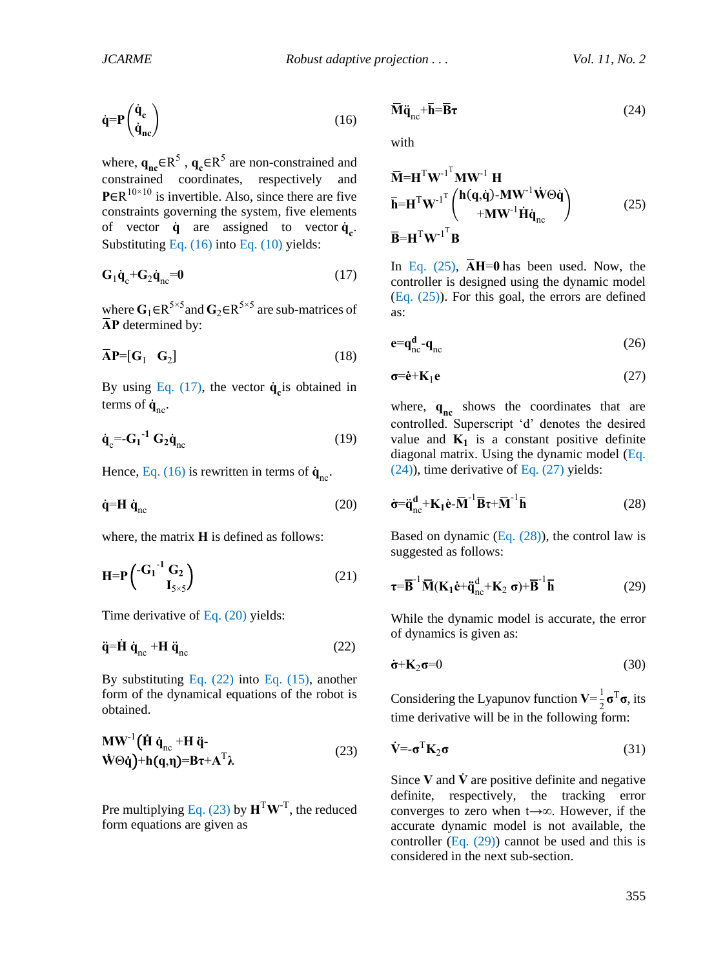<span id="page-4-0"></span>
$$
\dot{\mathbf{q}} = \mathbf{P} \begin{pmatrix} \dot{\mathbf{q}}_{\rm c} \\ \dot{\mathbf{q}}_{\rm nc} \end{pmatrix} \tag{16}
$$

where,  $\mathbf{q}_{\text{nc}} \in \mathbb{R}^5$ ,  $\mathbf{q}_{\text{c}} \in \mathbb{R}^5$  are non-constrained and constrained coordinates, respectively and **P**∈R<sup>10×10</sup> is invertible. Also, since there are five constraints governing the system, five elements of vector  $\dot{\mathbf{q}}$  are assigned to vector  $\dot{\mathbf{q}}_{\mathbf{c}}$ . Substituting [Eq. \(16\)](#page-4-0) int[o Eq. \(10\)](#page-3-4) yields:

<span id="page-4-1"></span>
$$
\mathbf{G}_1 \dot{\mathbf{q}}_c + \mathbf{G}_2 \dot{\mathbf{q}}_{nc} = 0 \tag{17}
$$

where  $\mathbf{G}_1 \in \mathbb{R}^{5 \times 5}$  and  $\mathbf{G}_2 \in \mathbb{R}^{5 \times 5}$  are sub-matrices of **A**̅**P** determined by:

$$
\overline{\mathbf{A}}\mathbf{P}=[\mathbf{G}_1 \quad \mathbf{G}_2] \tag{18}
$$

By using Eq.  $(17)$ , the vector  $\dot{\mathbf{q}}_{\mathbf{c}}$  is obtained in terms of  $\dot{\mathbf{q}}_{\text{nc}}$ .

$$
\dot{\mathbf{q}}_{\rm c} = -\mathbf{G_1}^{-1} \mathbf{G_2} \dot{\mathbf{q}}_{\rm nc}
$$
 (19)

Hence[, Eq. \(16\)](#page-4-0) is rewritten in terms of  $\dot{\mathbf{q}}_{\text{nc}}$ .

<span id="page-4-2"></span>
$$
\dot{\mathbf{q}} = \mathbf{H} \dot{\mathbf{q}}_{\text{nc}} \tag{20}
$$

where, the matrix **H** is defined as follows:

$$
\mathbf{H} = \mathbf{P} \begin{pmatrix} -\mathbf{G_1}^{-1} \mathbf{G_2} \\ \mathbf{I}_{5 \times 5} \end{pmatrix} \tag{21}
$$

Time derivative of [Eq. \(20\)](#page-4-2) yields:

<span id="page-4-3"></span>
$$
\ddot{\mathbf{q}} = \dot{\mathbf{H}} \dot{\mathbf{q}}_{\text{nc}} + \mathbf{H} \ddot{\mathbf{q}}_{\text{nc}} \tag{22}
$$

By substituting Eq.  $(22)$  into Eq.  $(15)$ , another form of the dynamical equations of the robot is obtained.

<span id="page-4-4"></span>
$$
\mathbf{M}\mathbf{W}^{-1}\left(\dot{\mathbf{H}}\dot{\mathbf{q}}_{nc} + \mathbf{H}\ddot{\mathbf{q}} - \dot{\mathbf{q}}\dot{\mathbf{q}}\right)
$$
  
 
$$
\dot{\mathbf{W}}\odot\dot{\mathbf{q}}\right) + \mathbf{h}(\mathbf{q},\mathbf{\eta}) = \mathbf{B}\boldsymbol{\tau} + \mathbf{A}^{\mathrm{T}}\boldsymbol{\lambda}
$$
 (23)

Pre multiplying [Eq. \(23\)](#page-4-4) by  $\mathbf{H}^T \mathbf{W}^T$ , the reduced form equations are given as

<span id="page-4-6"></span>
$$
\overline{\mathbf{M}}\ddot{\mathbf{q}}_{\text{nc}} + \overline{\mathbf{h}} = \overline{\mathbf{B}}\boldsymbol{\tau}
$$
 (24)

with

<span id="page-4-5"></span>
$$
\overline{\mathbf{M}} = \mathbf{H}^{\mathrm{T}} \mathbf{W}^{-1}^{\mathrm{T}} \mathbf{M} \mathbf{W}^{-1} \mathbf{H}
$$
\n
$$
\overline{\mathbf{h}} = \mathbf{H}^{\mathrm{T}} \mathbf{W}^{-1}^{\mathrm{T}} \begin{pmatrix} \mathbf{h}(\mathbf{q}, \dot{\mathbf{q}}) - \mathbf{M} \mathbf{W}^{-1} \dot{\mathbf{W}} \Theta \dot{\mathbf{q}} \\ + \mathbf{M} \mathbf{W}^{-1} \dot{\mathbf{H}} \dot{\mathbf{q}}_{\mathrm{nc}} \end{pmatrix}
$$
\n(25)

In Eq.  $(25)$ ,  $\overline{A}H=0$  has been used. Now, the controller is designed using the dynamic model [\(Eq. \(25\)\)](#page-4-5). For this goal, the errors are defined as:

$$
\mathbf{e} = \mathbf{q}_{\text{nc}}^{\mathbf{d}} - \mathbf{q}_{\text{nc}} \tag{26}
$$

<span id="page-4-7"></span>
$$
\sigma = \dot{\mathbf{e}} + \mathbf{K}_1 \mathbf{e} \tag{27}
$$

where,  $q_{nc}$  shows the coordinates that are controlled. Superscript 'd' denotes the desired value and  $K_1$  is a constant positive definite diagonal matrix. Using the dynamic model [\(Eq.](#page-4-6)  [\(24\)\)](#page-4-6), time derivative of [Eq. \(27\)](#page-4-7) yields:

<span id="page-4-8"></span>
$$
\dot{\sigma} = \ddot{q}_{nc}^{d} + K_1 \dot{e} - \overline{M}^{-1} \overline{B} \tau + \overline{M}^{-1} \overline{h}
$$
 (28)

Based on dynamic  $(Eq. (28))$ , the control law is suggested as follows:

<span id="page-4-9"></span>
$$
\boldsymbol{\tau} = \overline{\mathbf{B}}^{-1} \overline{\mathbf{M}} (\mathbf{K}_1 \dot{\mathbf{e}} + \ddot{\mathbf{q}}_{\text{nc}}^d + \mathbf{K}_2 \mathbf{\sigma}) + \overline{\mathbf{B}}^{-1} \overline{\mathbf{h}} \tag{29}
$$

While the dynamic model is accurate, the error of dynamics is given as:

$$
\dot{\sigma} + \mathbf{K}_2 \sigma = 0 \tag{30}
$$

Considering the Lyapunov function  $V = \frac{1}{2}$  $rac{1}{2}$ **σ**<sup>T</sup>**σ**, its time derivative will be in the following form:

$$
\dot{\mathbf{V}} = -\mathbf{\sigma}^{\mathrm{T}} \mathbf{K}_2 \mathbf{\sigma}
$$
 (31)

Since  $V$  and  $\dot{V}$  are positive definite and negative definite, respectively, the tracking error converges to zero when t→∞. However, if the accurate dynamic model is not available, the controller  $(Eq. (29))$  cannot be used and this is considered in the next sub-section.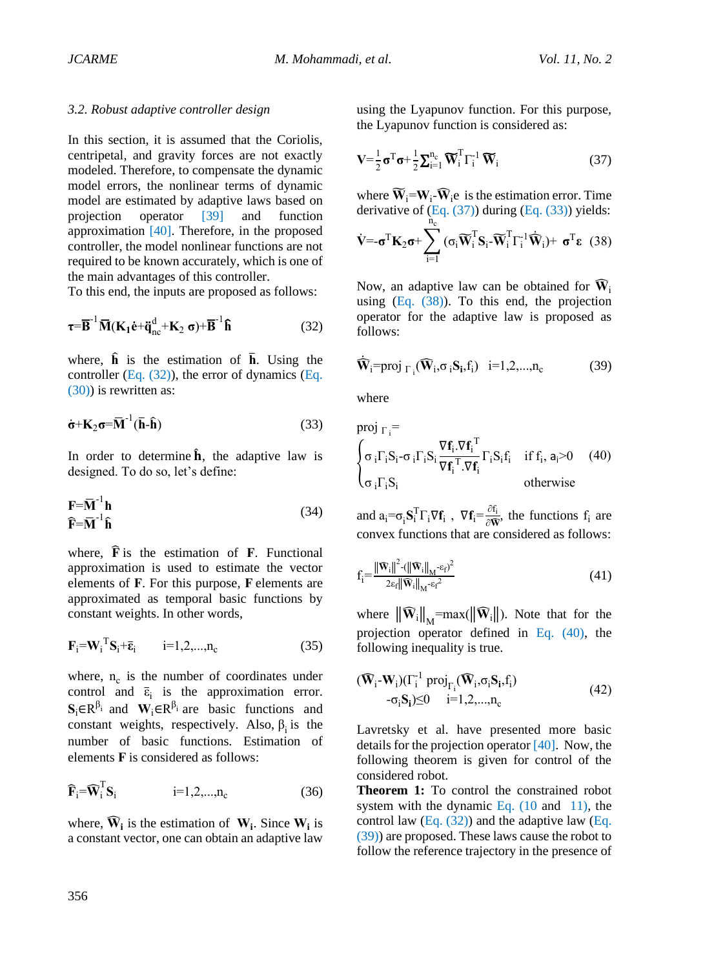#### *3.2. Robust adaptive controller design*

In this section, it is assumed that the Coriolis, centripetal, and gravity forces are not exactly modeled. Therefore, to compensate the dynamic model errors, the nonlinear terms of dynamic model are estimated by adaptive laws based on projection operator [39] and function approximation [40]. Th[erefore](#page-12-14), in the proposed controller, the [mode](#page-12-15)l nonlinear functions are not required to be known accurately, which is one of the main advantages of this controller.

To this end, the inputs are proposed as follows:

<span id="page-5-0"></span>
$$
\boldsymbol{\tau} = \overline{\mathbf{B}}^{-1} \overline{\mathbf{M}} (\mathbf{K}_1 \dot{\mathbf{e}} + \ddot{\mathbf{q}}_{\text{nc}}^d + \mathbf{K}_2 \mathbf{\sigma}) + \overline{\mathbf{B}}^{-1} \mathbf{\hat{h}} \tag{32}
$$

where,  $\hat{\mathbf{h}}$  is the estimation of  $\overline{\mathbf{h}}$ . Using the controller (Eq.  $(32)$ ), the error of dynamics (Eq. (30)) is re[written as:](#page-5-0)

<span id="page-5-2"></span>
$$
\dot{\sigma} + \mathbf{K}_2 \sigma = \overline{\mathbf{M}}^{-1} (\overline{\mathbf{h}} \cdot \hat{\mathbf{h}}) \tag{33}
$$

In order to determine  $\hat{\mathbf{h}}$ , the adaptive law is designed. To do so, let's define:

$$
\mathbf{F} = \mathbf{\bar{M}}^{-1} \mathbf{h}
$$
 (34)

where,  $\mathbf{\hat{F}}$  is the estimation of  $\mathbf{F}$ . Functional approximation is used to estimate the vector elements of **F**. For this purpose, **F** elements are approximated as temporal basic functions by constant weights. In other words,

$$
\mathbf{F}_{i} = \mathbf{W}_{i}^{\mathrm{T}} \mathbf{S}_{i} + \overline{\mathbf{\varepsilon}}_{i} \qquad i = 1, 2, ..., n_{c} \qquad (35)
$$

where,  $n_c$  is the number of coordinates under control and  $\bar{\epsilon}_i$  is the approximation error.  $S_i \in R^{\beta_i}$  and  $W_i \in R^{\beta_i}$  are basic functions and constant weights, respectively. Also,  $\beta_i$  is the number of basic functions. Estimation of elements **F** is considered as follows:

$$
\widehat{\mathbf{F}}_{i} = \widehat{\mathbf{W}}_{i}^{\mathrm{T}} \mathbf{S}_{i} \qquad i = 1, 2, \dots, n_{c} \qquad (36)
$$

where,  $\widehat{W}_i$  is the estimation of  $W_i$ . Since  $W_i$  is a constant vector, one can obtain an adaptive law

using the Lyapunov function. For this purpose, the Lyapunov function is considered as:

<span id="page-5-1"></span>
$$
\mathbf{V} = \frac{1}{2}\boldsymbol{\sigma}^{\mathrm{T}}\boldsymbol{\sigma} + \frac{1}{2}\sum_{i=1}^{n_{\mathrm{c}}}\widetilde{\mathbf{W}}_{i}^{\mathrm{T}}\boldsymbol{\Gamma}_{i}^{-1}\widetilde{\mathbf{W}}_{i}
$$
(37)

where  $\widetilde{W}_i = W_i - \widehat{W}_i$  is the estimation error. Time derivative of  $(Eq. (37))$  during  $(Eq. (33))$  yields:

$$
\dot{\mathbf{V}} = -\boldsymbol{\sigma}^{\mathrm{T}} \mathbf{K}_2 \boldsymbol{\sigma} + \sum_{i=1}^{\dot{n}_c} (\sigma_i \widetilde{\mathbf{W}}_i^{\mathrm{T}} \mathbf{S}_i - \widetilde{\mathbf{W}}_i^{\mathrm{T}} \boldsymbol{\Gamma}_i^{-1} \dot{\mathbf{W}}_i) + \boldsymbol{\sigma}^{\mathrm{T}} \boldsymbol{\epsilon}
$$
(38)

Now, an adaptive law can be obtained for  $\widehat{W}_i$ using  $(Eq. (38))$ . To this end, the projection operator for the adaptive law is proposed as follows:

<span id="page-5-3"></span>
$$
\dot{\mathbf{W}}_i = \text{proj}_{\Gamma_i}(\mathbf{\hat{W}}_i, \sigma_i \mathbf{S}_i, f_i) \quad i = 1, 2, \dots, n_c \tag{39}
$$

where

proj 
$$
\Gamma_i
$$
 =  
\n
$$
\begin{cases}\n\sigma_i \Gamma_i S_i - \sigma_i \Gamma_i S_i \frac{\nabla f_i \cdot \nabla f_i^T}{\nabla f_i^T \cdot \nabla f_i} \Gamma_i S_i f_i & \text{if } f_i, a_i > 0 \quad (40) \\
\sigma_i \Gamma_i S_i & \text{otherwise}\n\end{cases}
$$

and  $a_i = \sigma_i S_i^T \Gamma_i \nabla f_i$ ,  $\nabla f_i = \frac{\partial f_i}{\partial \mathbf{W}}$  $\frac{\partial I_i}{\partial \hat{\mathbf{W}}}$ , the functions  $f_i$  are convex functions that are considered as follows:

$$
\mathbf{f}_{i} = \frac{\|\widehat{\mathbf{W}}_{i}\|^{2} \cdot (\|\widehat{\mathbf{W}}_{i}\|_{M} \cdot \varepsilon_{f})^{2}}{2\varepsilon_{f} \|\widehat{\mathbf{W}}_{i}\|_{M} \cdot \varepsilon_{f}^{2}}
$$
(41)

where  $\|\widehat{\mathbf{W}}_i\|_{M} = \max(\|\widehat{\mathbf{W}}_i\|)$ . Note that for the projection operator defined in Eq. (40), the following inequality is true.

<span id="page-5-4"></span>
$$
(\widehat{\mathbf{W}}_i\text{-}\mathbf{W}_i)(\Gamma_i^{-1} \operatorname{proj}_{\Gamma_i}(\widehat{\mathbf{W}}_i, \sigma_i \mathbf{S}_i, f_i) -\sigma_i \mathbf{S}_i) \leq 0 \quad i=1,2,...,n_c
$$
\n
$$
(42)
$$

Lavretsky et al. have presented more basic details for the projection operator [\[40\].](#page-12-15) Now, the following theorem is given for control of the considered robot.

**Theorem 1:** To control the constrained robot system with the dynamic [Eq.](#page-3-4)  $(10 \text{ and } 11)$ , the control law  $(Eq. (32))$  and the adaptive law  $(Eq.$ [\(39\)\)](#page-5-3) are proposed. These laws cause the robot to follow the reference trajectory in the presence of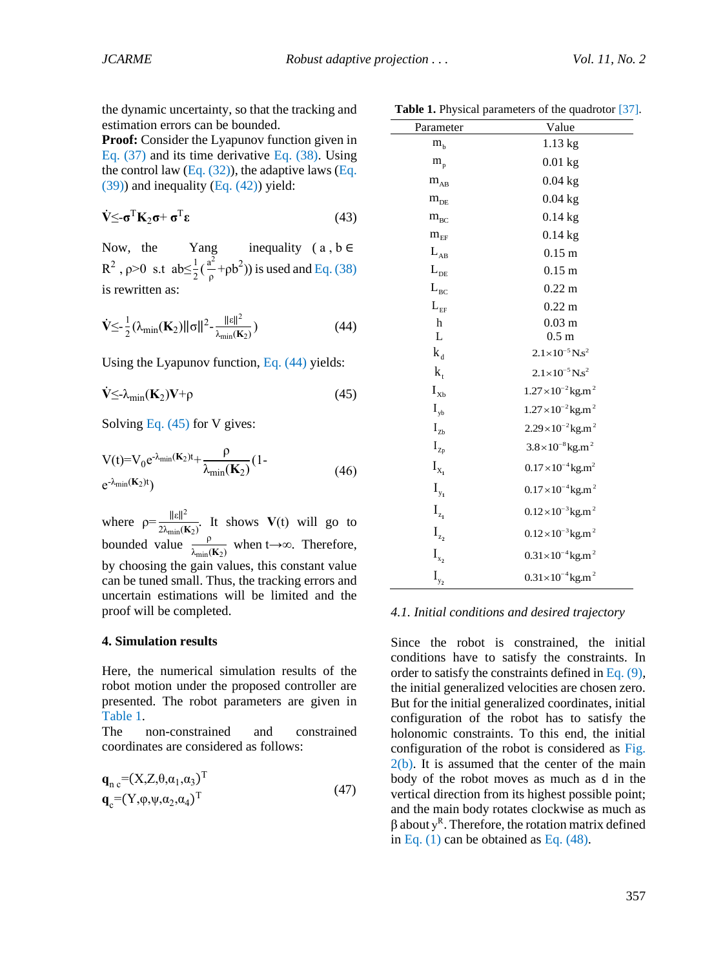the dynamic uncertainty, so that the tracking and estimation errors can be bounded.

**Proof:** Consider the Lyapunov function given in Eq. [\(37\)](#page-5-1) and its time derivative Eq. (38). Using the control law [\(Eq.](#page-5-3)  $(32)$ ), the adaptive laws (Eq.  $(39)$ ) and inequality (Eq.  $(42)$ ) yield:

$$
\dot{\mathbf{V}} \leq -\sigma^{\mathrm{T}} \mathbf{K}_2 \sigma + \sigma^{\mathrm{T}} \varepsilon \tag{43}
$$

Now, the Yang inequality  $(a, b \in$ R<sup>2</sup>,  $\rho$ >0 s.t ab $\leq \frac{1}{2}(\frac{a^2}{\rho})$  $\frac{a^2}{\rho}$ + $\rho b^2$ )) is used and Eq. (38) is rewritten as:

<span id="page-6-0"></span>
$$
\dot{\mathbf{V}} \leq \frac{1}{2} (\lambda_{\min}(\mathbf{K}_2) ||\boldsymbol{\sigma}||^2 - \frac{||\boldsymbol{\epsilon}||^2}{\lambda_{\min}(\mathbf{K}_2)})
$$
(44)

Using the Lyapunov function, Eq. [\(44\)](#page-6-0) yields:

<span id="page-6-1"></span>
$$
\dot{V} \leq \lambda_{\min}(\mathbf{K}_2) V + \rho \tag{45}
$$

Solving [Eq. \(45\)](#page-6-1) for V gives:

$$
V(t)=V_0e^{-\lambda_{\min}(\mathbf{K}_2)t}+\frac{\rho}{\lambda_{\min}(\mathbf{K}_2)}(1-\frac{\rho}{2\lambda_{\min}(\mathbf{K}_2)}t)
$$
(46)

where  $\rho = \frac{\|\varepsilon\|^2}{2\sqrt{2}}$  $\frac{\text{Re}\left(t\right)}{2\lambda_{\min}(\mathbf{K}_2)}$ . It shows  $\mathbf{V}(t)$  will go to bounded value  $\frac{p}{\lambda}$  $\frac{p}{\lambda_{\min}(K_2)}$  when t→∞. Therefore, by choosing the gain values, this constant value can be tuned small. Thus, the tracking errors and uncertain estimations will be limited and the proof will be completed.

#### **4. Simulation results**

Here, the numerical simulation results of the robot motion under the proposed controller are presented. The robot parameters are given in [Table 1.](#page-6-2)

The non-constrained and constrained coordinates are considered as follows:

$$
\mathbf{q}_{\mathrm{n c}} = (X, Z, \theta, \alpha_1, \alpha_3)^{\mathrm{T}}
$$
  
\n
$$
\mathbf{q}_{\mathrm{c}} = (Y, \varphi, \psi, \alpha_2, \alpha_4)^{\mathrm{T}}
$$
\n(47)

|  |  | Table 1. Physical parameters of the quadrotor [37]. |  |  |
|--|--|-----------------------------------------------------|--|--|
|--|--|-----------------------------------------------------|--|--|

<span id="page-6-2"></span>

| Parameter                           | Value                                   |
|-------------------------------------|-----------------------------------------|
| $m_{b}$                             | 1.13 kg                                 |
| $\rm m_{\rm p}$                     | $0.01$ kg                               |
| $m_{AB}$                            | $0.04$ kg                               |
| $m_{\scriptscriptstyle DE}$         | $0.04$ kg                               |
| $m_{BC}$                            | $0.14$ kg                               |
| $\rm m_{\rm EF}$                    | $0.14$ kg                               |
| $\mathcal{L}_{\mathrm{AB}}$         | $0.15$ m                                |
| $\mathcal{L}_{\text{DE}}$           | $0.15 \text{ m}$                        |
| $\mathcal{L}_{\textsc{bc}}$         | $0.22 \text{ m}$                        |
| $\mathcal{L}_{\textsc{ef}}$         | $0.22 \text{ m}$                        |
| $\mathbf h$                         | $0.03$ m                                |
| L                                   | 0.5 <sub>m</sub>                        |
| $\mathbf{k}_\text{d}$               | $2.1 \times 10^{-5}$ N.s <sup>2</sup>   |
| $k_{t}$                             | $2.1 \times 10^{-5}$ N.s <sup>2</sup>   |
| $\mathbf{I}_{\mathbf{X}\mathbf{b}}$ | $1.27 \times 10^{-2}$ kg.m <sup>2</sup> |
| $\mathbf{I}_{\mathrm{yb}}$          | $1.27 \times 10^{-2}$ kg.m <sup>2</sup> |
| $\mathbf{I}_{\mathrm{Zb}}$          | $2.29 \times 10^{-2}$ kg.m <sup>2</sup> |
| $\mathbf{I}_{\text{Zp}}$            | $3.8 \times 10^{-8}$ kg.m <sup>2</sup>  |
| $\mathbf{I}_{\mathbf{X}_1}$         | $0.17 \times 10^{-4}$ kg.m <sup>2</sup> |
| $\mathbf{I}_{\mathbf{y_1}}$         | $0.17 \times 10^{-4}$ kg.m <sup>2</sup> |
| $\mathbf{I}_{\mathbf{z}_1}$         | $0.12\times10^{-3}$ kg.m <sup>2</sup>   |
| $\mathbf{I}_{\mathbf{z}_2}$         | $0.12\times10^{-3}$ kg.m <sup>2</sup>   |
| $\mathbf{I}_{\mathbf{x_2}}$         | $0.31 \times 10^{-4}$ kg.m <sup>2</sup> |
| $I_{y_2}$                           | $0.31 \times 10^{-4}$ kg.m <sup>2</sup> |

#### *4.1. Initial conditions and desired trajectory*

Since the robot is constrained, the initial conditions have to satisfy the constraints. In order to satisfy the constraints defined i[n Eq. \(9\),](#page-3-0) the initial generalized velocities are chosen zero. But for the initial generalized coordinates, initial configuration of the robot has to satisfy the holonomic constraints. To this end, the initial configuration of the robot is considered as [Fig.](#page-7-0)   $2(b)$ . It is assumed that the center of the main body of the robot moves as much as d in the vertical direction from its highest possible point; and the main body rotates clockwise as much as  $β$  about y<sup>R</sup>. Therefore, the rotation matrix defined in Eq.  $(1)$  can be obtained as Eq.  $(48)$ .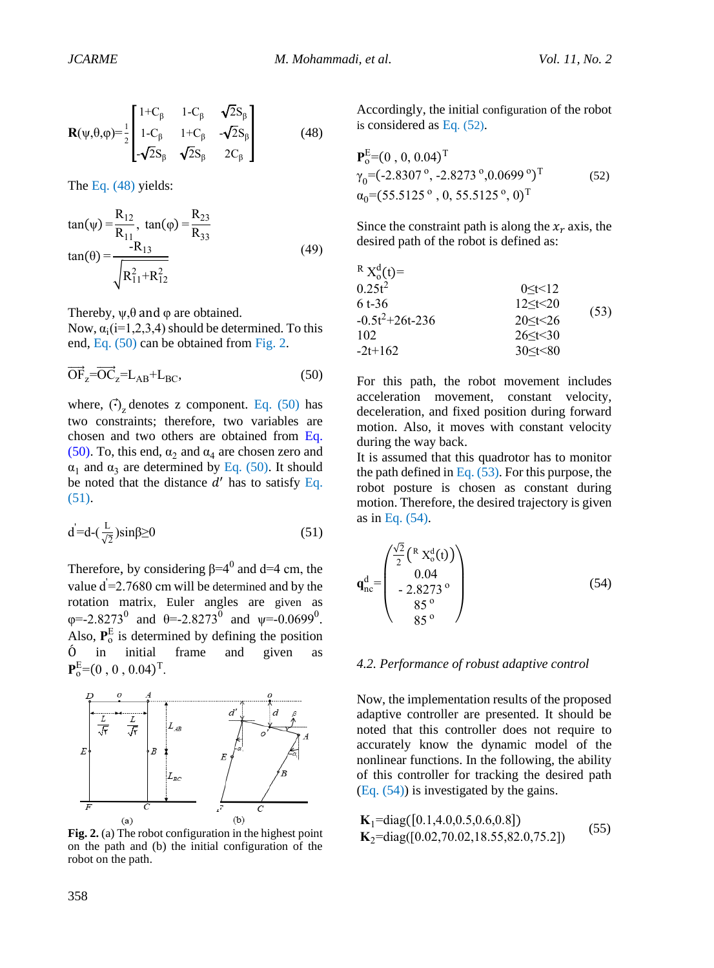<span id="page-7-1"></span>
$$
\mathbf{R}(\psi,\theta,\varphi) = \frac{1}{2} \begin{bmatrix} 1+C_{\beta} & 1-C_{\beta} & \sqrt{2}S_{\beta} \\ 1-C_{\beta} & 1+C_{\beta} & -\sqrt{2}S_{\beta} \\ -\sqrt{2}S_{\beta} & \sqrt{2}S_{\beta} & 2C_{\beta} \end{bmatrix}
$$
(48)

The [Eq. \(48\)](#page-7-1) yields:

$$
\tan(\psi) = \frac{R_{12}}{R_{11}}, \tan(\phi) = \frac{R_{23}}{R_{33}}
$$
  
\n
$$
\tan(\theta) = \frac{-R_{13}}{\sqrt{R_{11}^2 + R_{12}^2}}
$$
\n(49)

Thereby,  $\psi$ ,  $\theta$  and  $\phi$  are obtained.

Now,  $\alpha_i$ (i=1,2,3,4) should be determined. To this end, Eq. [\(50\)](#page-7-2) can be obtained from [Fig.](#page-7-0) 2.

<span id="page-7-2"></span>
$$
\overrightarrow{OF}_z = \overrightarrow{OC}_z = L_{AB} + L_{BC},\tag{50}
$$

where,  $\langle \cdot \rangle_z$  denotes z component. Eq. [\(50\)](#page-7-2) has two constraints; therefore, two variables are chosen and two others are obtained from [Eq.](#page-7-2)  [\(50\).](#page-7-2) To, this end,  $\alpha_2$  and  $\alpha_4$  are chosen zero and  $\alpha_1$  and  $\alpha_3$  are determined by [Eq. \(50\).](#page-7-2) It should be noted that the distance  $d'$  has to satisfy Eq. [\(51\).](#page-7-3)

<span id="page-7-3"></span>
$$
d' = d - \left(\frac{L}{\sqrt{2}}\right) \sin\beta \ge 0 \tag{51}
$$

Therefore, by considering  $\beta = 4^0$  and d=4 cm, the value  $d = 2.7680$  cm will be determined and by the rotation matrix, Euler angles are given as  $\varphi$ =-2.8273<sup>0</sup> and  $\theta$ =-2.8273<sup>0</sup> and  $\psi$ =-0.0699<sup>0</sup>. Also,  $P_0^E$  is determined by defining the position Ó in initial frame and given as  ${\bf P}_o^{\rm E}\text{=}(0, 0, 0.04)^{\rm T}.$ 

<span id="page-7-0"></span>

**Fig. 2.** (a) The robot configuration in the highest point on the path and (b) the initial configuration of the robot on the path.

Accordingly, the initial configuration of the robot is considered as [Eq](#page-7-4). (5[2\)](#page-7-4).

<span id="page-7-4"></span>
$$
\begin{aligned} \mathbf{P}_o^{\text{E}} &= (0 \ , \ 0, \ 0.04)^{\text{T}} \\ \gamma_0 &= (-2.8307 \ ^{\circ} \ , \ -2.8273 \ ^{\circ} \ , \ 0.0699 \ ^{\circ} )^{\text{T}} \\ \alpha_0 &= (55.5125 \ ^{\circ} \ , \ 0, \ 55.5125 \ ^{\circ} \ , \ 0)^{\text{T}} \end{aligned} \tag{52}
$$

Since the constraint path is along the  $x_r$  axis, the desired path of the robot is defined as:

<span id="page-7-5"></span>

| $R X_0^d(t) =$    |                    |      |
|-------------------|--------------------|------|
| $0.25t^2$         | $0 \leq t \leq 12$ |      |
| $6t - 36$         | $12 \le t \le 20$  | (53) |
| $-0.5t^2+26t-236$ | 20 < t < 26        |      |
| 102               | $26 \le t \le 30$  |      |
| $-2t+162$         | $30 \le t < 80$    |      |

For this path, the robot movement includes acceleration movement, constant velocity, deceleration, and fixed position during forward motion. Also, it moves with constant velocity during the way back.

It is assumed that this quadrotor has to monitor the path defined in Eq.  $(53)$ . For this purpose, the robot posture is chosen as constant during motion. Therefore, the desired trajectory is given as in [Eq. \(54\).](#page-7-6)

<span id="page-7-6"></span>
$$
\mathbf{q}_{\text{nc}}^{\text{d}} = \begin{pmatrix} \frac{\sqrt{2}}{2} \left( \begin{array}{c} R & X_{\text{o}}^{\text{d}}(t) \end{array} \right) \\ \begin{array}{c} 0.04 \\ -2.8273 \\ 85 \\ 85 \\ 0 \end{array} \end{pmatrix} \tag{54}
$$

#### *4.2. Performance of robust adaptive control*

Now, the implementation results of the proposed adaptive controller are presented. It should be noted that this controller does not require to accurately know the dynamic model of the nonlinear functions. In the following, the ability of this controller for tracking the desired path [\(Eq. \(54\)\)](#page-7-6) is investigated by the gains.

$$
\mathbf{K}_1 = \text{diag}([0.1, 4.0, 0.5, 0.6, 0.8])
$$
\n
$$
\mathbf{K}_2 = \text{diag}([0.02, 70.02, 18.55, 82.0, 75.2])
$$
\n(55)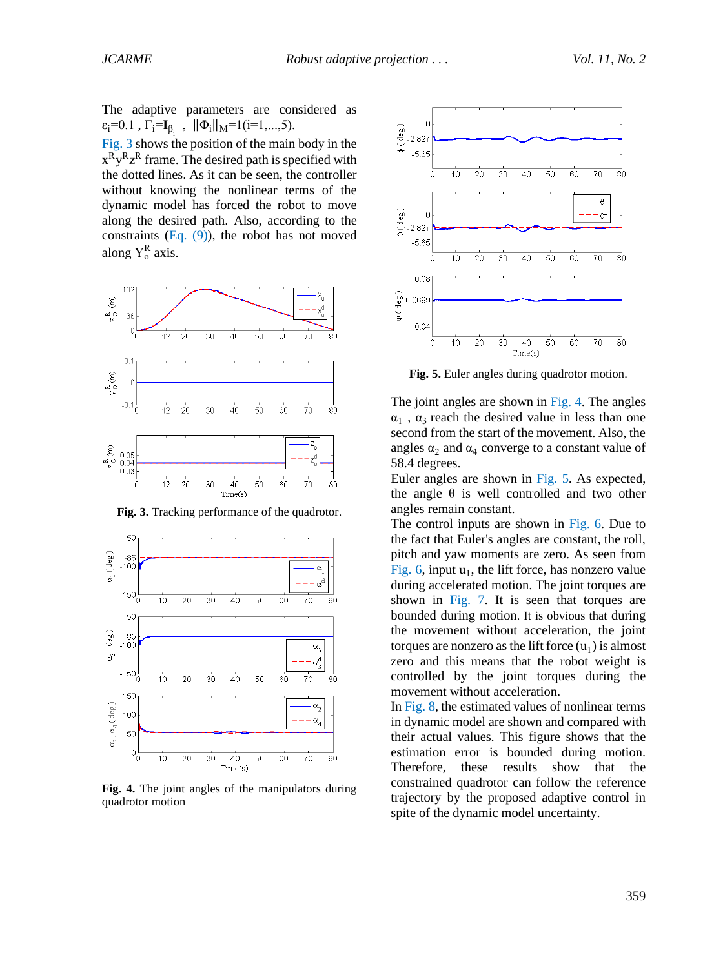The adaptive parameters are considered as  $\varepsilon_i = 0.1$ ,  $\Gamma_i = I_{\beta_i}$ ,  $\|\Phi_i\|_M = 1$  (**i**=1,...,5).

[Fig.](#page-8-0) 3 shows the position of the main body in the  $x^R y^R z^R$  frame. The desired path is specified with the dotted lines. As it can be seen, the controller without knowing the nonlinear terms of the dynamic model has forced the robot to move along the desired path. Also, according to the constraints  $(Eq. (9))$ , the robot has not moved along  $Y_0^R$  axis.

<span id="page-8-0"></span>

**Fig. 3.** Tracking performance of the quadrotor.

<span id="page-8-1"></span>

**Fig. 4.** The joint angles of the manipulators during quadrotor motion

<span id="page-8-2"></span>

**Fig. 5.** Euler angles during quadrotor motion.

The joint angles are shown in [Fig. 4.](#page-8-1) The angles  $\alpha_1$ ,  $\alpha_3$  reach the desired value in less than one second from the start of the movement. Also, the angles  $\alpha_2$  and  $\alpha_4$  converge to a constant value of 58.4 degrees.

Euler angles are shown in [Fig. 5.](#page-8-2) As expected, the angle  $\theta$  is well controlled and two other angles remain constant.

The control inputs are shown in [Fig. 6.](#page-8-3) Due to the fact that Euler's angles are constant, the roll, pitch and yaw moments are zero. As seen from Fig.  $6$ , input  $u_1$ , the lift force, has nonzero value during accelerated motion. The joint torques are shown in [Fig. 7.](#page-9-0) It is seen that torques are bounded during motion. It is obvious that during the movement without acceleration, the joint torques are nonzero as the lift force  $(u_1)$  is almost zero and this means that the robot weight is controlled by the joint torques during the movement without acceleration.

<span id="page-8-3"></span>I[n Fig. 8,](#page-9-1) the estimated values of nonlinear terms in dynamic model are shown and compared with their actual values. This figure shows that the estimation error is bounded during motion. Therefore, these results show that the constrained quadrotor can follow the reference trajectory by the proposed adaptive control in spite of the dynamic model uncertainty.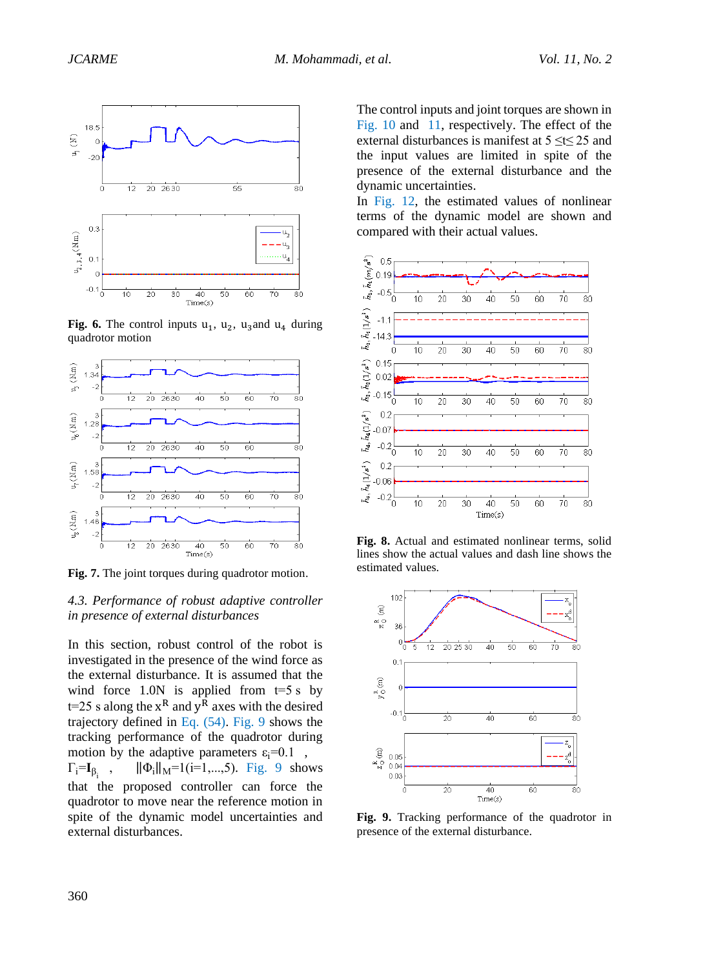

**Fig. 6.** The control inputs  $u_1$ ,  $u_2$ ,  $u_3$  and  $u_4$  during quadrotor motion

<span id="page-9-0"></span>

**Fig. 7.** The joint torques during quadrotor motion.

## *4.3. Performance of robust adaptive controller in presence of external disturbances*

In this section, robust control of the robot is investigated in the presence of the wind force as the external disturbance. It is assumed that the wind force  $1.0N$  is applied from  $t=5$  s by  $t=25$  s along the  $x<sup>R</sup>$  and  $y<sup>R</sup>$  axes with the desired trajectory defined in [Eq. \(54\).](#page-7-6) [Fig. 9](#page-9-2) shows the tracking performance of the quadrotor during motion by the adaptive parameters  $\varepsilon_i$ =0.1,  $\Gamma_{\mathbf{i}} = \mathbf{I}_{\beta_{\mathbf{i}}}$ ,  $\|\Phi_i\|_M=1$ (i=1,...,5). [Fig. 9](#page-9-2) shows that the proposed controller can force the quadrotor to move near the reference motion in spite of the dynamic model uncertainties and external disturbances.

The control inputs and joint torques are shown in [Fig. 10](#page-10-3) and [11,](#page-10-4) respectively. The effect of the external disturbances is manifest at 5 ≤t≤ 25 and the input values are limited in spite of the presence of the external disturbance and the dynamic uncertainties.

In [Fig. 12,](#page-10-5) the estimated values of nonlinear terms of the dynamic model are shown and compared with their actual values.

<span id="page-9-1"></span>

**Fig. 8.** Actual and estimated nonlinear terms, solid lines show the actual values and dash line shows the estimated values.

<span id="page-9-2"></span>

**Fig. 9.** Tracking performance of the quadrotor in presence of the external disturbance.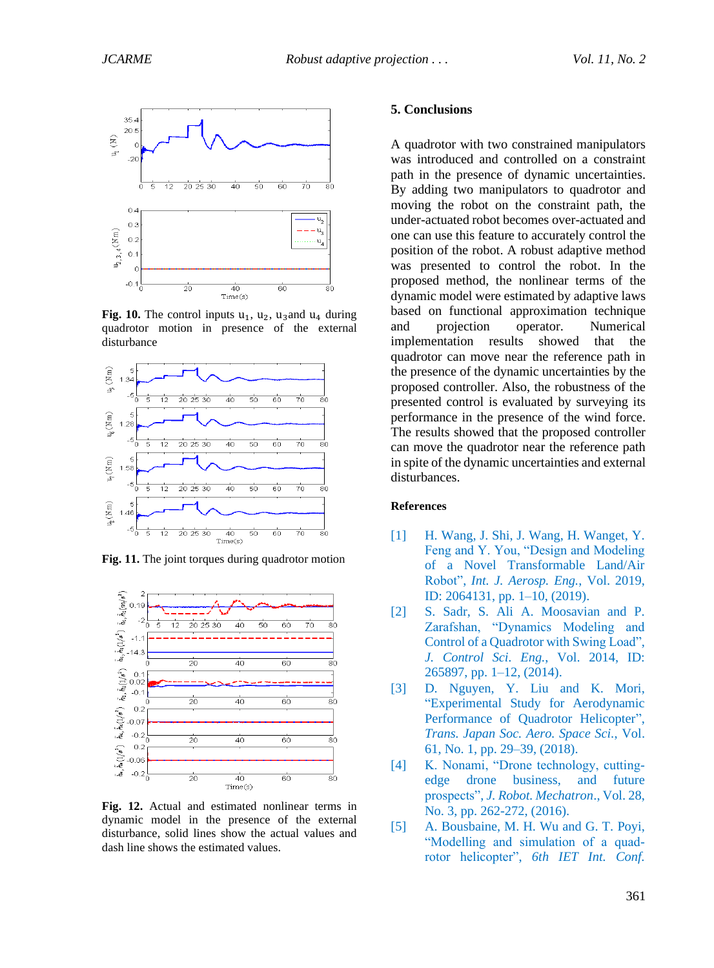<span id="page-10-3"></span>

**Fig. 10.** The control inputs  $u_1$ ,  $u_2$ ,  $u_3$  and  $u_4$  during quadrotor motion in presence of the external disturbance

<span id="page-10-4"></span>

**Fig. 11.** The joint torques during quadrotor motion

<span id="page-10-5"></span>

**Fig. 12.** Actual and estimated nonlinear terms in dynamic model in the presence of the external disturbance, solid lines show the actual values and dash line shows the estimated values.

#### **5. Conclusions**

A quadrotor with two constrained manipulators was introduced and controlled on a constraint path in the presence of dynamic uncertainties. By adding two manipulators to quadrotor and moving the robot on the constraint path, the under-actuated robot becomes over-actuated and one can use this feature to accurately control the position of the robot. A robust adaptive method was presented to control the robot. In the proposed method, the nonlinear terms of the dynamic model were estimated by adaptive laws based on functional approximation technique and projection operator. Numerical implementation results showed that the quadrotor can move near the reference path in the presence of the dynamic uncertainties by the proposed controller. Also, the robustness of the presented control is evaluated by surveying its performance in the presence of the wind force. The results showed that the proposed controller can move the quadrotor near the reference path in spite of the dynamic uncertainties and external disturbances.

#### **References**

- <span id="page-10-0"></span>[1] H. Wang, J. Shi, J. Wang, H. Wanget, Y. Feng and Y. You, "Design and Modeling of a Novel Transformable Land/Air Robot", *Int. J. Aerosp. Eng.*, Vol. 2019, ID: 2064131, pp. 1–10, (2019).
- [2] S. Sadr, S. Ali A. Moosavian and P. Zarafshan, "Dynamics Modeling and Control of a Quadrotor with Swing Load", *J. Control Sci. Eng.*, Vol. 2014, ID: 265897, pp. 1–12, (2014).
- [3] D. Nguyen, Y. Liu and K. Mori, "Experimental Study for Aerodynamic Performance of Quadrotor Helicopter", *Trans. Japan Soc. Aero. Space Sci.*, Vol. 61, No. 1, pp. 29–39, (2018).
- <span id="page-10-1"></span>[4] K. Nonami, "Drone technology, cuttingedge drone business, and future prospects", *J. Robot. Mechatron*., Vol. 28, No. 3, pp. 262-272, (2016).
- <span id="page-10-2"></span>[5] A. Bousbaine, M. H. Wu and G. T. Poyi, "Modelling and simulation of a quadrotor helicopter", *[6th IET Int.](https://ieeexplore.ieee.org/xpl/mostRecentIssue.jsp?punumber=6235114) Conf.*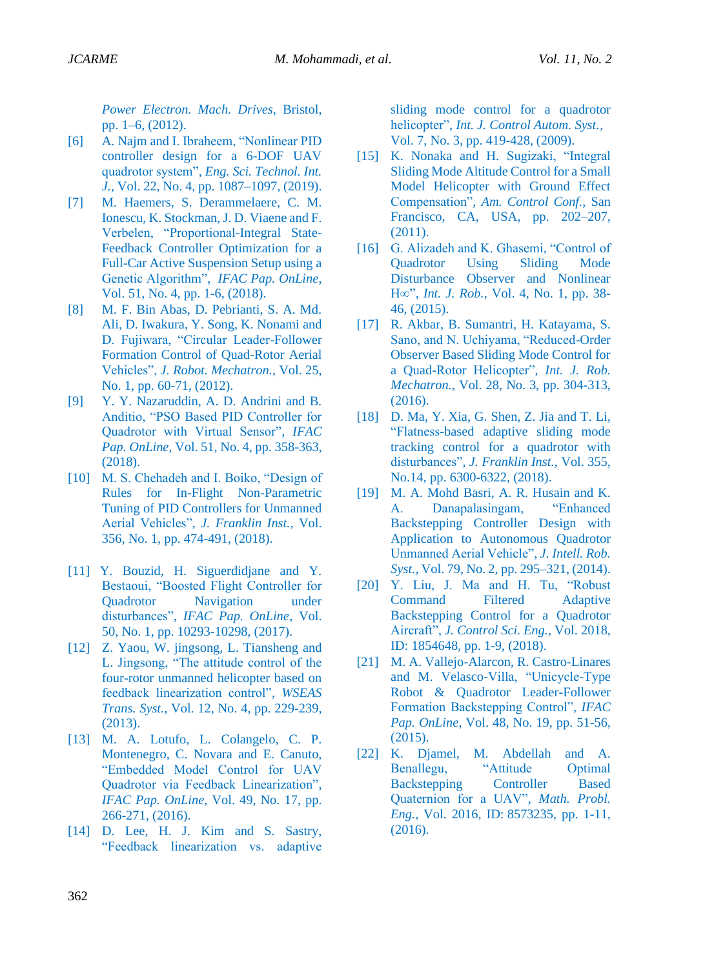*[Power Electron.](https://ieeexplore.ieee.org/xpl/mostRecentIssue.jsp?punumber=6235114) Mach. Drives*, Bristol, pp. 1–6, (2012).

- <span id="page-11-0"></span>[6] A. Najm and I. Ibraheem, "Nonlinear PID controller design for a 6-DOF UAV quadrotor system", *Eng. Sci. Technol. Int. J.*, [Vol. 22, No. 4,](https://www.sciencedirect.com/science/journal/22150986/22/4) pp. 1087–1097, (2019).
- [7] M. Haemers, S. Derammelaere, C. M. Ionescu, K. Stockman, J. D. Viaene and F. Verbelen, "Proportional-Integral State-Feedback Controller Optimization for a Full-Car Active Suspension Setup using a Genetic Algorithm", *IFAC Pap. OnLine*, Vol. 51, No. 4, pp. 1-6, (2018).
- [8] M. F. Bin Abas, D. Pebrianti, S. A. Md. Ali, D. Iwakura, Y. Song, K. Nonami and D. Fujiwara, "Circular Leader-Follower Formation Control of Quad-Rotor Aerial Vehicles", *J. Robot. Mechatron.*, Vol. 25, No. 1, pp. 60-71, (2012).
- [9] Y. Y. Nazaruddin, A. D. Andrini and B. Anditio, "PSO Based PID Controller for Quadrotor with Virtual Sensor", *IFAC Pap. OnLine*, Vol. 51, No. 4, pp. 358-363, (2018).
- [10] M. S. Chehadeh and I. Boiko, "Design of Rules for In-Flight Non-Parametric Tuning of PID Controllers for Unmanned Aerial Vehicles", *J. Franklin Inst.*, Vol. [356, No.](https://www.sciencedirect.com/science/journal/00160032/356/1) 1, pp. 474-491, (2018).
- <span id="page-11-1"></span>[11] Y. Bouzid, H. Siguerdidjane and Y. Bestaoui, "Boosted Flight Controller for Quadrotor Navigation under disturbances", *IFAC Pap. OnLine*, Vol. [50, No.](https://www.sciencedirect.com/science/journal/24058963/50/1) 1, pp. 10293-10298, (2017).
- <span id="page-11-2"></span>[12] Z. Yaou, W. jingsong, L. Tiansheng and L. Jingsong, "The attitude control of the four-rotor unmanned helicopter based on feedback linearization control", *WSEAS Trans. Syst.*, Vol. 12, No. 4, pp. 229-239, (2013).
- [13] M. A. Lotufo, L. Colangelo, C. P. Montenegro, C. Novara and E. Canuto, "Embedded Model Control for UAV Quadrotor via Feedback Linearization", *IFAC Pap. OnLine*, Vol. [49, No.](https://www.sciencedirect.com/science/journal/24058963/49/17) 17, pp. 266-271, (2016).
- [14] D. Lee, H. J. Kim and S. Sastry, "Feedback linearization vs. adaptive

sliding mode control for a quadrotor helicopter", *Int. J. Control Autom. Syst.,*  Vol. [7, No.](https://www.sciencedirect.com/science/journal/24058963/49/17) 3, pp. 419-428, (2009).

- <span id="page-11-3"></span>[15] K. Nonaka and H. Sugizaki, "Integral Sliding Mode Altitude Control for a Small Model Helicopter with Ground Effect Compensation", *Am. Control Conf.*, San Francisco, CA, USA, pp. 202–207, (2011).
- <span id="page-11-4"></span>[16] G. Alizadeh and K. Ghasemi, "Control of Quadrotor Using Sliding Mode Disturbance Observer and Nonlinear H∞", *Int. J. Rob.*, Vol. [4, No.](https://www.sciencedirect.com/science/journal/24058963/49/17) 1, pp. 38- 46, (2015).
- [17] R. Akbar, B. Sumantri, H. Katayama, S. Sano, and N. Uchiyama, "Reduced-Order Observer Based Sliding Mode Control for a Quad-Rotor Helicopter", *Int. J. Rob. Mechatron.*, Vol. 28, No. 3, pp. 304-313, (2016).
- [18] D. Ma, Y. Xia, G. Shen, Z. Jia and T. Li, "Flatness-based adaptive sliding mode tracking control for a quadrotor with disturbances", *J. Franklin Inst.*, Vol. 355, No.14, pp. 6300-6322, (2018).
- <span id="page-11-5"></span>[19] M. A. Mohd Basri, A. R. Husain and K. A. Danapalasingam, "Enhanced Backstepping Controller Design with Application to Autonomous Quadrotor Unmanned Aerial Vehicle", *J. Intell. Rob. Syst.*, Vol. 79, No. 2, pp. 295–321, (2014).
- [20] Y. Liu, J. Ma and H. Tu, "Robust Command Filtered Adaptive Backstepping Control for a Quadrotor Aircraft", *J. Control Sci. Eng.,* Vol. 2018, ID: 1854648, pp. 1-9, (2018).
- [21] M. A. Vallejo-Alarcon, R. Castro-Linares and M. Velasco-Villa, "Unicycle-Type Robot & Quadrotor Leader-Follower Formation Backstepping Control", *IFAC Pap. OnLine*, Vol. 48, No. 19, pp. 51-56, (2015).
- [22] K. Djamel, M. Abdellah and A. Benallegu, "Attitude Optimal Backstepping Controller Based Quaternion for a UAV", *Math. Probl. Eng.*, Vol. 2016, ID: 8573235, pp. 1-11, (2016).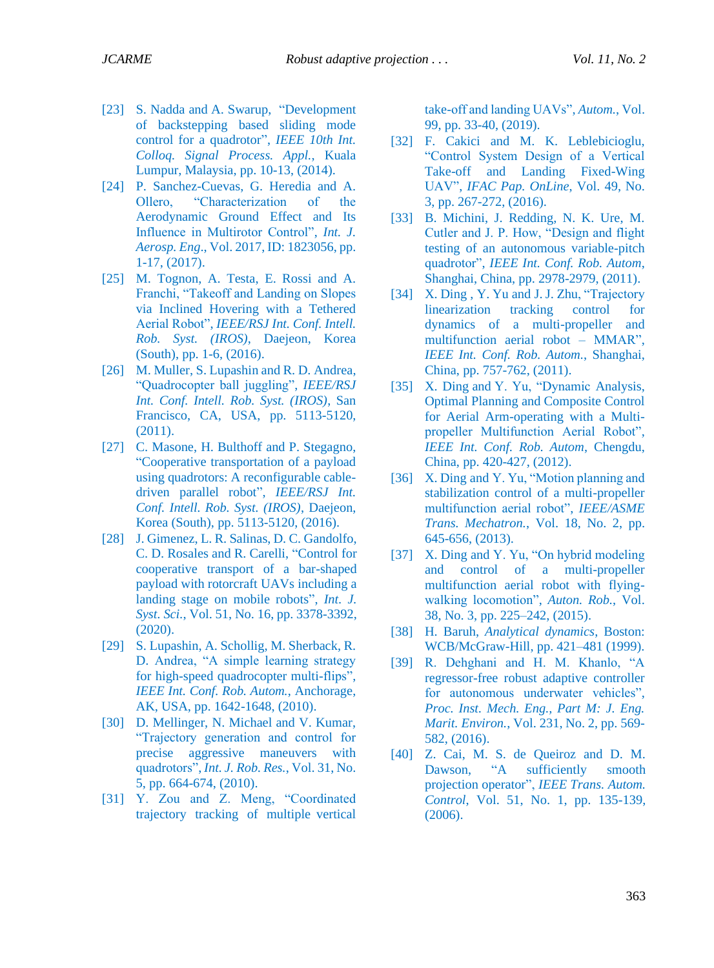- <span id="page-12-0"></span>[23] S. [Nadda](https://ieeexplore.ieee.org/author/37086464854) and [A. Swarup,](https://ieeexplore.ieee.org/author/37659242700) "Development of backstepping based sliding mode control for a quadrotor", *[IEEE 10th Int.](https://ieeexplore.ieee.org/xpl/conhome/6798245/proceeding)  [Colloq. Signal Process. Appl.](https://ieeexplore.ieee.org/xpl/conhome/6798245/proceeding)*, Kuala Lumpur, Malaysia, pp. 10-13, (2014).
- <span id="page-12-1"></span>[24] P. Sanchez-Cuevas, G. Heredia and A. Ollero, "Characterization of the Aerodynamic Ground Effect and Its Influence in Multirotor Control", *Int. J. Aerosp. Eng*., Vol. 2017, ID: 1823056, pp. 1-17, (2017).
- <span id="page-12-2"></span>[25] M. Tognon, A. Testa, E. Rossi and A. Franchi, "Takeoff and Landing on Slopes via Inclined Hovering with a Tethered Aerial Robot", *IEEE/RSJ Int. Conf. Intell. Rob. Syst. (IROS)*, Daejeon, Korea (South), pp. 1-6, (2016).
- <span id="page-12-3"></span>[26] M. Muller, S. Lupashin and R. D. Andrea, "Quadrocopter ball juggling", *IEEE/RSJ Int. Conf. Intell. Rob. Syst. (IROS)*, San Francisco, CA, USA, pp. 5113-5120, (2011).
- [27] C. Masone, H. Bulthoff and P. Stegagno, "Cooperative transportation of a payload using quadrotors: A reconfigurable cabledriven parallel robot", *IEEE/RSJ Int. Conf. Intell. Rob. Syst. (IROS)*, Daejeon, Korea (South), pp. 5113-5120, (2016).
- <span id="page-12-4"></span>[28] J. Gimenez, L. R. Salinas, D. C. Gandolfo, C. D. Rosales and R. Carelli, "Control for cooperative transport of a bar-shaped payload with rotorcraft UAVs including a landing stage on mobile robots", *Int. J. Syst. Sci.*, Vol. 51, No. 16, pp. 3378-3392, (2020).
- <span id="page-12-5"></span>[29] S. Lupashin, A. Schollig, M. Sherback, R. D. Andrea, "A simple learning strategy for high-speed quadrocopter multi-flips", *IEEE Int. Conf. Rob. Autom.*, Anchorage, AK, USA, pp. 1642-1648, (2010).
- <span id="page-12-6"></span>[30] D. Mellinger, N. Michael and V. Kumar, "Trajectory generation and control for precise aggressive maneuvers with quadrotors", *Int. J. Rob. Res.*, Vol. 31, No. 5, pp. 664-674, (2010).
- <span id="page-12-7"></span>[31] Y. Zou and Z. Meng, "Coordinated trajectory tracking of multiple vertical

take-off and landing UAVs", *Autom.*, Vol. 99, pp. 33-40, (2019).

- [32] F. Cakici and M. K. Leblebicioglu, "Control System Design of a Vertical Take-off and Landing Fixed-Wing UAV", *IFAC Pap. OnLine*, Vol. 49, No. 3, pp. 267-272, (2016).
- <span id="page-12-8"></span>[33] B. Michini, J. Redding, N. K. Ure, M. Cutler and J. P. How, "Design and flight testing of an autonomous variable-pitch quadrotor", *IEEE Int. Conf. Rob. Autom*, Shanghai, China, pp. 2978-2979, (2011).
- <span id="page-12-9"></span>[34] X[. Ding](https://ieeexplore.ieee.org/author/37329764000), Y. [Yu](https://ieeexplore.ieee.org/author/37963812000) and J. J. [Zhu,](https://ieeexplore.ieee.org/author/38200600700) "Trajectory" linearization tracking control for dynamics of a multi-propeller and multifunction aerial robot – MMAR", *IEEE Int. Conf. Rob. Autom.*, Shanghai, China, pp. 757-762, (2011).
- <span id="page-12-10"></span>[35] X. [Ding](https://ieeexplore.ieee.org/author/37329764000) and Y. Yu, "Dynamic Analysis, Optimal Planning and Composite Control for Aerial Arm-operating with a Multipropeller Multifunction Aerial Robot", *IEEE Int. Conf. Rob. Autom*, Chengdu, China, pp. 420-427, (2012).
- <span id="page-12-11"></span>[36] X[. Ding](https://ieeexplore.ieee.org/author/37329764000) and Y. Yu, "Motion planning and stabilization control of a multi-propeller multifunction aerial robot", *IEEE/ASME Trans. Mechatron.*, Vol. 18, No. 2, pp. 645-656, (2013).
- <span id="page-12-13"></span>[37] X. [Ding](https://ieeexplore.ieee.org/author/37329764000) and Y. Yu, "On hybrid modeling and control of a multi-propeller multifunction aerial robot with flyingwalking locomotion", *Auton. Rob.*, Vol. 38, No. 3, pp. 225–242, (2015).
- <span id="page-12-12"></span>[38] H. Baruh, *Analytical dynamics*, Boston: WCB/McGraw-Hill, pp. 421–481 (1999).
- <span id="page-12-14"></span>[39] R. Dehghani and H. M. Khanlo, "A regressor-free robust adaptive controller for autonomous underwater vehicles", *Proc. Inst. Mech. Eng., Part M: J. Eng. Marit. Environ.*, Vol. 231, No. 2, pp. 569- 582, (2016).
- <span id="page-12-15"></span>[40] Z. Cai, M. S. de Queiroz and D. M. Dawson, "A sufficiently smooth projection operator", *IEEE Trans. Autom. Control*, Vol. 51, No. 1, pp. 135-139, (2006).